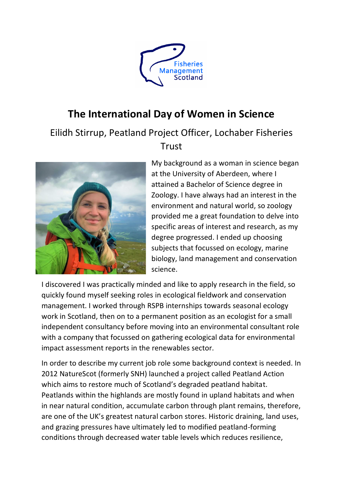

## **The International Day of Women in Science**

## Eilidh Stirrup, Peatland Project Officer, Lochaber Fisheries **Trust**



My background as a woman in science began at the University of Aberdeen, where I attained a Bachelor of Science degree in Zoology. I have always had an interest in the environment and natural world, so zoology provided me a great foundation to delve into specific areas of interest and research, as my degree progressed. I ended up choosing subjects that focussed on ecology, marine biology, land management and conservation science.

I discovered I was practically minded and like to apply research in the field, so quickly found myself seeking roles in ecological fieldwork and conservation management. I worked through RSPB internships towards seasonal ecology work in Scotland, then on to a permanent position as an ecologist for a small independent consultancy before moving into an environmental consultant role with a company that focussed on gathering ecological data for environmental impact assessment reports in the renewables sector.

In order to describe my current job role some background context is needed. In 2012 NatureScot (formerly SNH) launched a project called Peatland Action which aims to restore much of Scotland's degraded peatland habitat. Peatlands within the highlands are mostly found in upland habitats and when in near natural condition, accumulate carbon through plant remains, therefore, are one of the UK's greatest natural carbon stores. Historic draining, land uses, and grazing pressures have ultimately led to modified peatland-forming conditions through decreased water table levels which reduces resilience,